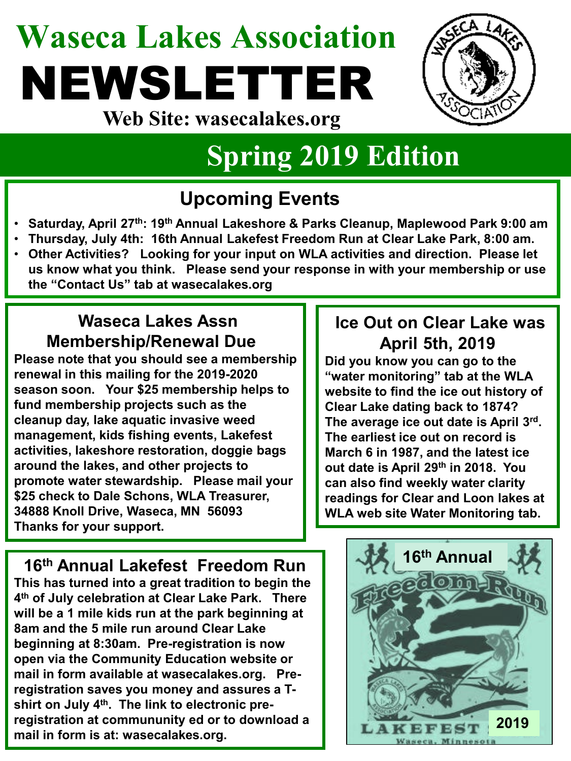# **Waseca Lakes Association** NEWSLETTER



**Web Site: wasecalakes.org**

### **Spring 2019 Edition**

#### **Upcoming Events**

- **Saturday, April 27th: 19th Annual Lakeshore & Parks Cleanup, Maplewood Park 9:00 am**
- **Thursday, July 4th: 16th Annual Lakefest Freedom Run at Clear Lake Park, 8:00 am.**
- **Other Activities? Looking for your input on WLA activities and direction. Please let us know what you think. Please send your response in with your membership or use the "Contact Us" tab at wasecalakes.org**

#### **Waseca Lakes Assn Membership/Renewal Due**

**Please note that you should see a membership renewal in this mailing for the 2019-2020 season soon. Your \$25 membership helps to fund membership projects such as the cleanup day, lake aquatic invasive weed management, kids fishing events, Lakefest activities, lakeshore restoration, doggie bags around the lakes, and other projects to promote water stewardship. Please mail your \$25 check to Dale Schons, WLA Treasurer, 34888 Knoll Drive, Waseca, MN 56093 Thanks for your support.**

**16th Annual Lakefest Freedom Run This has turned into a great tradition to begin the 4th of July celebration at Clear Lake Park. There will be a 1 mile kids run at the park beginning at 8am and the 5 mile run around Clear Lake beginning at 8:30am. Pre-registration is now open via the Community Education website or mail in form available at wasecalakes.org. Preregistration saves you money and assures a Tshirt on July 4th. The link to electronic preregistration at commununity ed or to download a mail in form is at: wasecalakes.org.**

#### **Ice Out on Clear Lake was April 5th, 2019**

**Did you know you can go to the "water monitoring" tab at the WLA website to find the ice out history of Clear Lake dating back to 1874? The average ice out date is April 3rd. The earliest ice out on record is March 6 in 1987, and the latest ice out date is April 29th in 2018. You can also find weekly water clarity readings for Clear and Loon lakes at WLA web site Water Monitoring tab.**